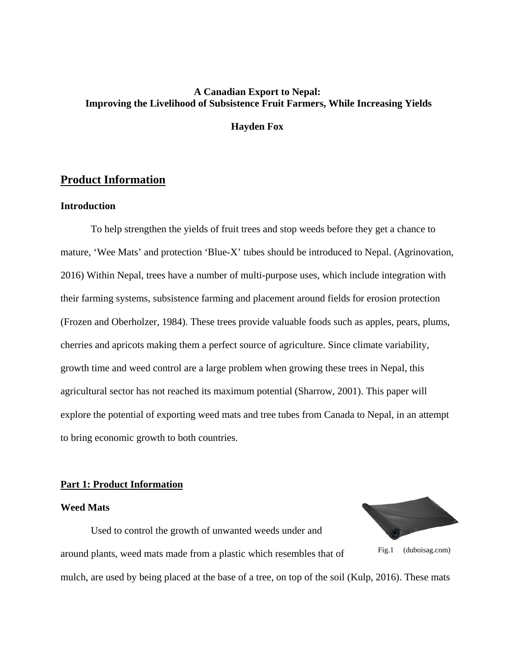# **A Canadian Export to Nepal: Improving the Livelihood of Subsistence Fruit Farmers, While Increasing Yields**

**Hayden Fox**

# **Product Information**

# **Introduction**

To help strengthen the yields of fruit trees and stop weeds before they get a chance to mature, 'Wee Mats' and protection 'Blue-X' tubes should be introduced to Nepal. (Agrinovation, 2016) Within Nepal, trees have a number of multi-purpose uses, which include integration with their farming systems, subsistence farming and placement around fields for erosion protection (Frozen and Oberholzer, 1984). These trees provide valuable foods such as apples, pears, plums, cherries and apricots making them a perfect source of agriculture. Since climate variability, growth time and weed control are a large problem when growing these trees in Nepal, this agricultural sector has not reached its maximum potential (Sharrow, 2001). This paper will explore the potential of exporting weed mats and tree tubes from Canada to Nepal, in an attempt to bring economic growth to both countries.

# **Part 1: Product Information**

#### **Weed Mats**

Used to control the growth of unwanted weeds under and around plants, weed mats made from a plastic which resembles that of mulch, are used by being placed at the base of a tree, on top of the soil (Kulp, 2016). These mats Fig.1 (duboisag.com)

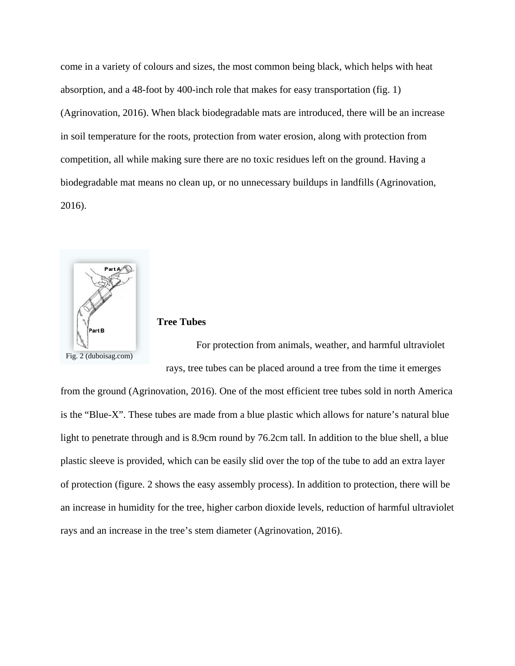come in a variety of colours and sizes, the most common being black, which helps with heat absorption, and a 48-foot by 400-inch role that makes for easy transportation (fig. 1) (Agrinovation, 2016). When black biodegradable mats are introduced, there will be an increase in soil temperature for the roots, protection from water erosion, along with protection from competition, all while making sure there are no toxic residues left on the ground. Having a biodegradable mat means no clean up, or no unnecessary buildups in landfills (Agrinovation, 2016).



# **Tree Tubes**

For protection from animals, weather, and harmful ultraviolet rays, tree tubes can be placed around a tree from the time it emerges

from the ground (Agrinovation, 2016). One of the most efficient tree tubes sold in north America is the "Blue-X". These tubes are made from a blue plastic which allows for nature's natural blue light to penetrate through and is 8.9cm round by 76.2cm tall. In addition to the blue shell, a blue plastic sleeve is provided, which can be easily slid over the top of the tube to add an extra layer of protection (figure. 2 shows the easy assembly process). In addition to protection, there will be an increase in humidity for the tree, higher carbon dioxide levels, reduction of harmful ultraviolet rays and an increase in the tree's stem diameter (Agrinovation, 2016).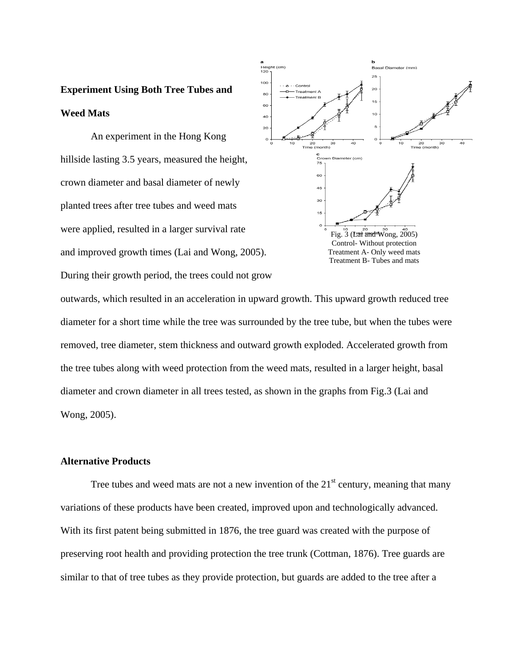# **Experiment Using Both Tree Tubes and Weed Mats**

An experiment in the Hong Kong hillside lasting 3.5 years, measured the height, crown diameter and basal diameter of newly planted trees after tree tubes and weed mats were applied, resulted in a larger survival rate and improved growth times (Lai and Wong, 2005). During their growth period, the trees could not grow



outwards, which resulted in an acceleration in upward growth. This upward growth reduced tree diameter for a short time while the tree was surrounded by the tree tube, but when the tubes were removed, tree diameter, stem thickness and outward growth exploded. Accelerated growth from the tree tubes along with weed protection from the weed mats, resulted in a larger height, basal diameter and crown diameter in all trees tested, as shown in the graphs from Fig.3 (Lai and Wong, 2005).

# **Alternative Products**

Tree tubes and weed mats are not a new invention of the  $21<sup>st</sup>$  century, meaning that many variations of these products have been created, improved upon and technologically advanced. With its first patent being submitted in 1876, the tree guard was created with the purpose of preserving root health and providing protection the tree trunk (Cottman, 1876). Tree guards are similar to that of tree tubes as they provide protection, but guards are added to the tree after a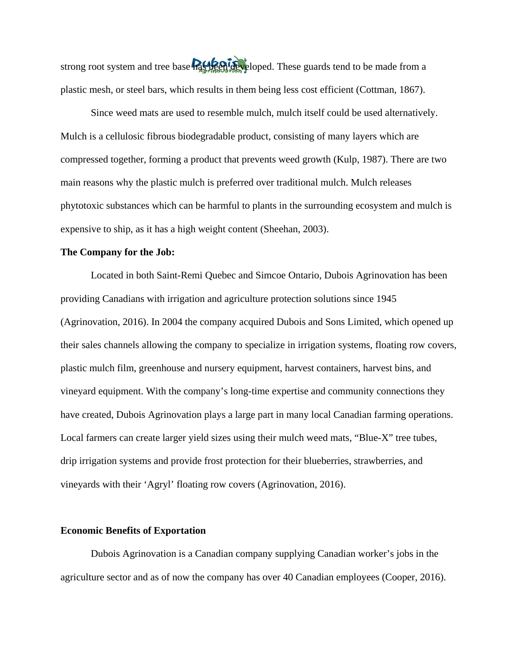strong root system and tree base has been developed. These guards tend to be made from a plastic mesh, or steel bars, which results in them being less cost efficient (Cottman, 1867).

Since weed mats are used to resemble mulch, mulch itself could be used alternatively. Mulch is a cellulosic fibrous biodegradable product, consisting of many layers which are compressed together, forming a product that prevents weed growth (Kulp, 1987). There are two main reasons why the plastic mulch is preferred over traditional mulch. Mulch releases phytotoxic substances which can be harmful to plants in the surrounding ecosystem and mulch is expensive to ship, as it has a high weight content (Sheehan, 2003).

#### **The Company for the Job:**

Located in both Saint-Remi Quebec and Simcoe Ontario, Dubois Agrinovation has been providing Canadians with irrigation and agriculture protection solutions since 1945 (Agrinovation, 2016). In 2004 the company acquired Dubois and Sons Limited, which opened up their sales channels allowing the company to specialize in irrigation systems, floating row covers, plastic mulch film, greenhouse and nursery equipment, harvest containers, harvest bins, and vineyard equipment. With the company's long-time expertise and community connections they have created, Dubois Agrinovation plays a large part in many local Canadian farming operations. Local farmers can create larger yield sizes using their mulch weed mats, "Blue-X" tree tubes, drip irrigation systems and provide frost protection for their blueberries, strawberries, and vineyards with their 'Agryl' floating row covers (Agrinovation, 2016).

#### **Economic Benefits of Exportation**

Dubois Agrinovation is a Canadian company supplying Canadian worker's jobs in the agriculture sector and as of now the company has over 40 Canadian employees (Cooper, 2016).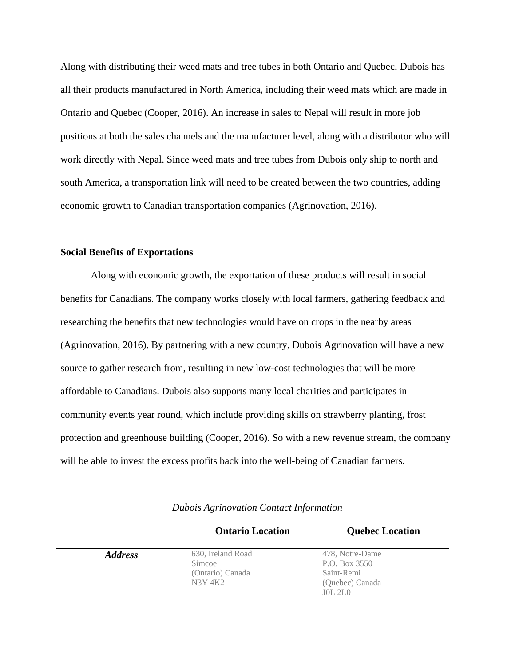Along with distributing their weed mats and tree tubes in both Ontario and Quebec, Dubois has all their products manufactured in North America, including their weed mats which are made in Ontario and Quebec (Cooper, 2016). An increase in sales to Nepal will result in more job positions at both the sales channels and the manufacturer level, along with a distributor who will work directly with Nepal. Since weed mats and tree tubes from Dubois only ship to north and south America, a transportation link will need to be created between the two countries, adding economic growth to Canadian transportation companies (Agrinovation, 2016).

#### **Social Benefits of Exportations**

Along with economic growth, the exportation of these products will result in social benefits for Canadians. The company works closely with local farmers, gathering feedback and researching the benefits that new technologies would have on crops in the nearby areas (Agrinovation, 2016). By partnering with a new country, Dubois Agrinovation will have a new source to gather research from, resulting in new low-cost technologies that will be more affordable to Canadians. Dubois also supports many local charities and participates in community events year round, which include providing skills on strawberry planting, frost protection and greenhouse building (Cooper, 2016). So with a new revenue stream, the company will be able to invest the excess profits back into the well-being of Canadian farmers.

|                | <b>Ontario Location</b>                                    | <b>Quebec Location</b>                                                              |
|----------------|------------------------------------------------------------|-------------------------------------------------------------------------------------|
| <b>Address</b> | 630, Ireland Road<br>Simcoe<br>(Ontario) Canada<br>N3Y 4K2 | 478, Notre-Dame<br>P.O. Box 3550<br>Saint-Remi<br>(Quebec) Canada<br><b>JOL 2LO</b> |

*Dubois Agrinovation Contact Information*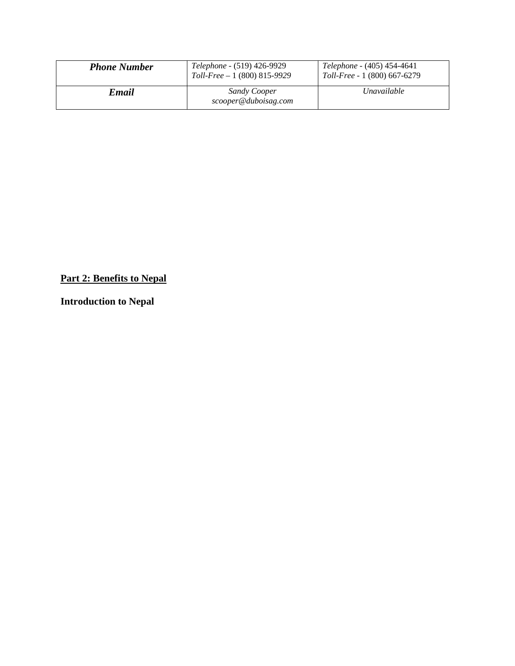| <b>Phone Number</b> | <i>Telephone</i> - (519) 426-9929<br>$Toll-Free - 1 (800) 815-9929$ | <i>Telephone</i> - (405) 454-4641<br>Toll-Free - 1 (800) 667-6279 |
|---------------------|---------------------------------------------------------------------|-------------------------------------------------------------------|
| Email               | <b>Sandy Cooper</b><br>scooper@duboisag.com                         | <i>Unavailable</i>                                                |

# **Part 2: Benefits to Nepal**

**Introduction to Nepal**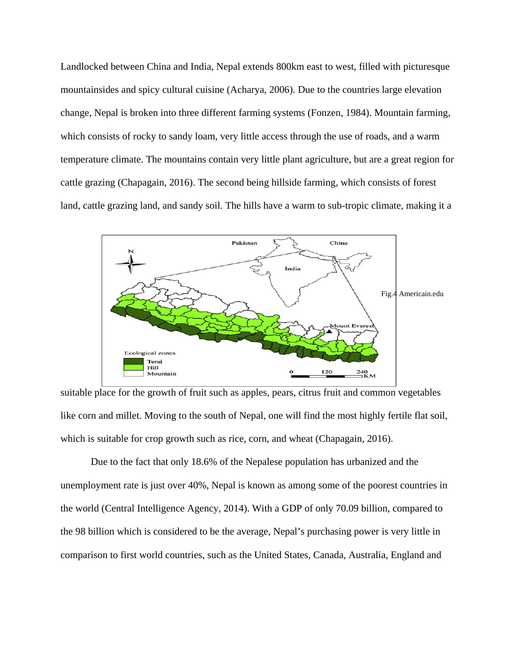Landlocked between China and India, Nepal extends 800km east to west, filled with picturesque mountainsides and spicy cultural cuisine (Acharya, 2006). Due to the countries large elevation change, Nepal is broken into three different farming systems (Fonzen, 1984). Mountain farming, which consists of rocky to sandy loam, very little access through the use of roads, and a warm temperature climate. The mountains contain very little plant agriculture, but are a great region for cattle grazing (Chapagain, 2016). The second being hillside farming, which consists of forest land, cattle grazing land, and sandy soil. The hills have a warm to sub-tropic climate, making it a



suitable place for the growth of fruit such as apples, pears, citrus fruit and common vegetables like corn and millet. Moving to the south of Nepal, one will find the most highly fertile flat soil, which is suitable for crop growth such as rice, corn, and wheat (Chapagain, 2016).

Due to the fact that only 18.6% of the Nepalese population has urbanized and the unemployment rate is just over 40%, Nepal is known as among some of the poorest countries in the world (Central Intelligence Agency, 2014). With a GDP of only 70.09 billion, compared to the 98 billion which is considered to be the average, Nepal's purchasing power is very little in comparison to first world countries, such as the United States, Canada, Australia, England and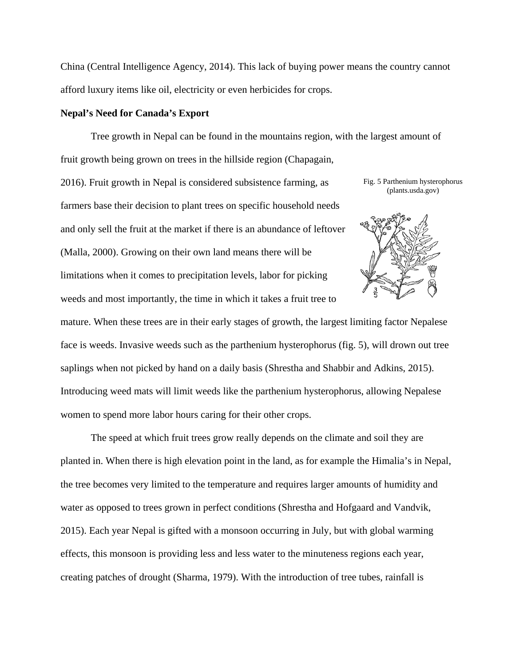China (Central Intelligence Agency, 2014). This lack of buying power means the country cannot afford luxury items like oil, electricity or even herbicides for crops.

#### **Nepal's Need for Canada's Export**

Tree growth in Nepal can be found in the mountains region, with the largest amount of fruit growth being grown on trees in the hillside region (Chapagain,

2016). Fruit growth in Nepal is considered subsistence farming, as farmers base their decision to plant trees on specific household needs and only sell the fruit at the market if there is an abundance of leftover (Malla, 2000). Growing on their own land means there will be limitations when it comes to precipitation levels, labor for picking weeds and most importantly, the time in which it takes a fruit tree to

Fig. 5 Parthenium hysterophorus (plants.usda.gov)



mature. When these trees are in their early stages of growth, the largest limiting factor Nepalese face is weeds. Invasive weeds such as the parthenium hysterophorus (fig. 5), will drown out tree saplings when not picked by hand on a daily basis (Shrestha and Shabbir and Adkins, 2015). Introducing weed mats will limit weeds like the parthenium hysterophorus, allowing Nepalese women to spend more labor hours caring for their other crops.

The speed at which fruit trees grow really depends on the climate and soil they are planted in. When there is high elevation point in the land, as for example the Himalia's in Nepal, the tree becomes very limited to the temperature and requires larger amounts of humidity and water as opposed to trees grown in perfect conditions (Shrestha and Hofgaard and Vandvik, 2015). Each year Nepal is gifted with a monsoon occurring in July, but with global warming effects, this monsoon is providing less and less water to the minuteness regions each year, creating patches of drought (Sharma, 1979). With the introduction of tree tubes, rainfall is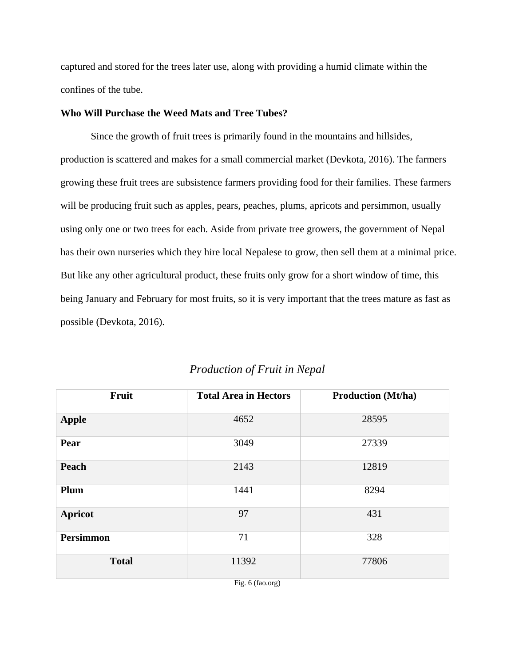captured and stored for the trees later use, along with providing a humid climate within the confines of the tube.

# **Who Will Purchase the Weed Mats and Tree Tubes?**

Since the growth of fruit trees is primarily found in the mountains and hillsides, production is scattered and makes for a small commercial market (Devkota, 2016). The farmers growing these fruit trees are subsistence farmers providing food for their families. These farmers will be producing fruit such as apples, pears, peaches, plums, apricots and persimmon, usually using only one or two trees for each. Aside from private tree growers, the government of Nepal has their own nurseries which they hire local Nepalese to grow, then sell them at a minimal price. But like any other agricultural product, these fruits only grow for a short window of time, this being January and February for most fruits, so it is very important that the trees mature as fast as possible (Devkota, 2016).

| Fruit            | <b>Total Area in Hectors</b> | <b>Production (Mt/ha)</b> |
|------------------|------------------------------|---------------------------|
| <b>Apple</b>     | 4652                         | 28595                     |
| Pear             | 3049                         | 27339                     |
| Peach            | 2143                         | 12819                     |
| Plum             | 1441                         | 8294                      |
| <b>Apricot</b>   | 97                           | 431                       |
| <b>Persimmon</b> | 71                           | 328                       |
| <b>Total</b>     | 11392                        | 77806                     |

# *Production of Fruit in Nepal*

Fig. 6 (fao.org)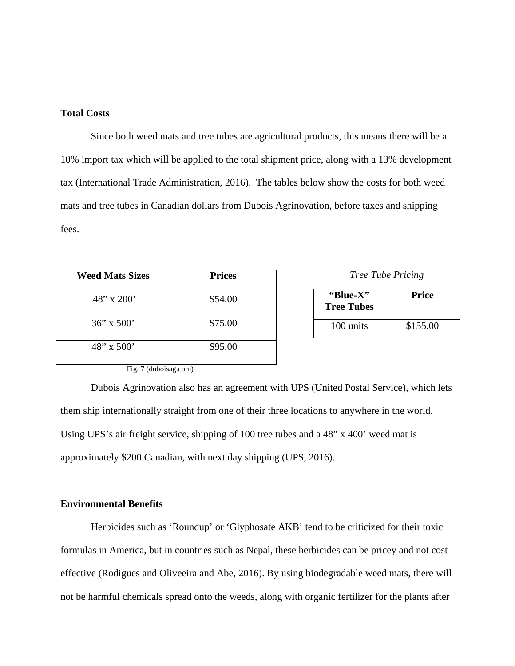# **Total Costs**

Since both weed mats and tree tubes are agricultural products, this means there will be a 10% import tax which will be applied to the total shipment price, along with a 13% development tax (International Trade Administration, 2016). The tables below show the costs for both weed mats and tree tubes in Canadian dollars from Dubois Agrinovation, before taxes and shipping fees.

| <b>Weed Mats Sizes</b> | <b>Prices</b> |
|------------------------|---------------|
| $48''$ x 200'          | \$54.00       |
| $36''$ x $500'$        | \$75.00       |
| $48''$ x 500'          | \$95.00       |

*Tree Tube Pricing*

| "Blue-X"<br><b>Tree Tubes</b> | <b>Price</b> |
|-------------------------------|--------------|
| 100 units                     | \$155.00     |

Fig. 7 (duboisag.com)

Dubois Agrinovation also has an agreement with UPS (United Postal Service), which lets them ship internationally straight from one of their three locations to anywhere in the world. Using UPS's air freight service, shipping of 100 tree tubes and a 48" x 400' weed mat is approximately \$200 Canadian, with next day shipping (UPS, 2016).

#### **Environmental Benefits**

Herbicides such as 'Roundup' or 'Glyphosate AKB' tend to be criticized for their toxic formulas in America, but in countries such as Nepal, these herbicides can be pricey and not cost effective (Rodigues and Oliveeira and Abe, 2016). By using biodegradable weed mats, there will not be harmful chemicals spread onto the weeds, along with organic fertilizer for the plants after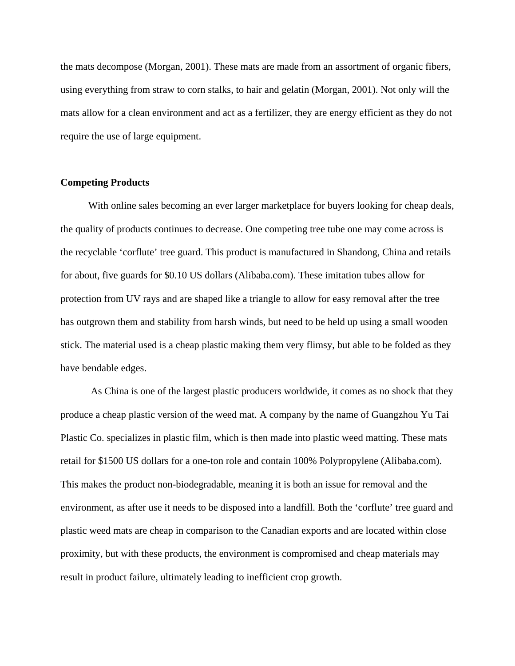the mats decompose (Morgan, 2001). These mats are made from an assortment of organic fibers, using everything from straw to corn stalks, to hair and gelatin (Morgan, 2001). Not only will the mats allow for a clean environment and act as a fertilizer, they are energy efficient as they do not require the use of large equipment.

#### **Competing Products**

With online sales becoming an ever larger marketplace for buyers looking for cheap deals, the quality of products continues to decrease. One competing tree tube one may come across is the recyclable 'corflute' tree guard. This product is manufactured in Shandong, China and retails for about, five guards for \$0.10 US dollars (Alibaba.com). These imitation tubes allow for protection from UV rays and are shaped like a triangle to allow for easy removal after the tree has outgrown them and stability from harsh winds, but need to be held up using a small wooden stick. The material used is a cheap plastic making them very flimsy, but able to be folded as they have bendable edges.

As China is one of the largest plastic producers worldwide, it comes as no shock that they produce a cheap plastic version of the weed mat. A company by the name of Guangzhou Yu Tai Plastic Co. specializes in plastic film, which is then made into plastic weed matting. These mats retail for \$1500 US dollars for a one-ton role and contain 100% Polypropylene (Alibaba.com). This makes the product non-biodegradable, meaning it is both an issue for removal and the environment, as after use it needs to be disposed into a landfill. Both the 'corflute' tree guard and plastic weed mats are cheap in comparison to the Canadian exports and are located within close proximity, but with these products, the environment is compromised and cheap materials may result in product failure, ultimately leading to inefficient crop growth.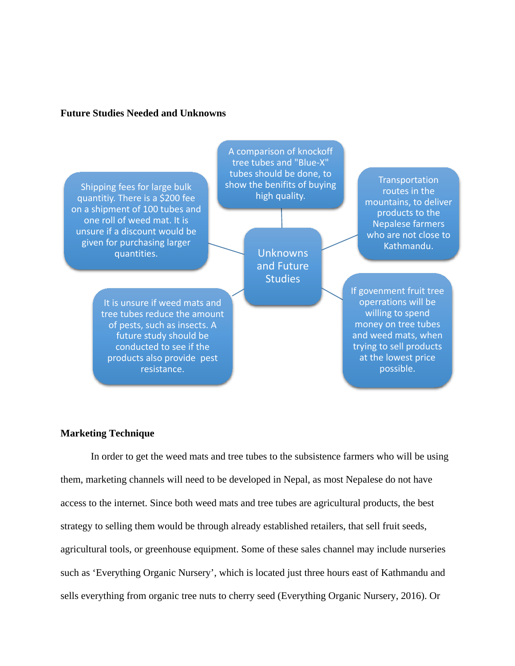# **Future Studies Needed and Unknowns**

Shipping fees for large bulk quantitiy. There is a \$200 fee on a shipment of 100 tubes and one roll of weed mat. It is unsure if a discount would be given for purchasing larger quantities.

> It is unsure if weed mats and tree tubes reduce the amount of pests, such as insects. A future study should be conducted to see if the products also provide pest resistance.

A comparison of knockoff tree tubes and "Blue-X" tubes should be done, to show the benifits of buying high quality.

> Unknowns and Future **Studies**

**Transportation** routes in the mountains, to deliver products to the Nepalese farmers who are not close to Kathmandu.

If govenment fruit tree operrations will be willing to spend money on tree tubes and weed mats, when trying to sell products at the lowest price possible.

#### **Marketing Technique**

In order to get the weed mats and tree tubes to the subsistence farmers who will be using them, marketing channels will need to be developed in Nepal, as most Nepalese do not have access to the internet. Since both weed mats and tree tubes are agricultural products, the best strategy to selling them would be through already established retailers, that sell fruit seeds, agricultural tools, or greenhouse equipment. Some of these sales channel may include nurseries such as 'Everything Organic Nursery', which is located just three hours east of Kathmandu and sells everything from organic tree nuts to cherry seed (Everything Organic Nursery, 2016). Or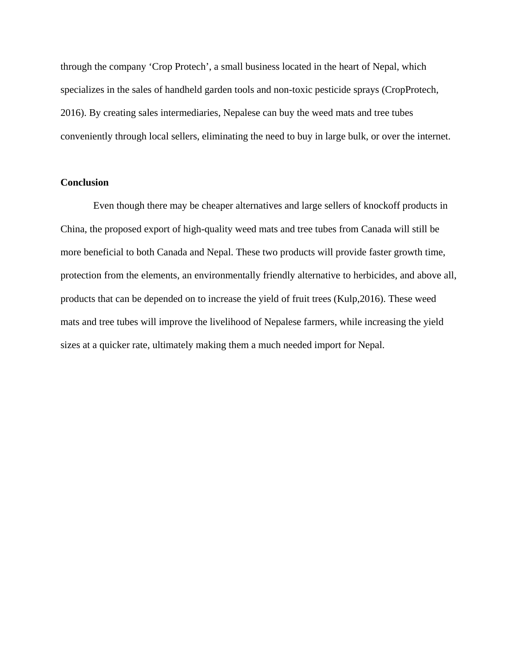through the company 'Crop Protech', a small business located in the heart of Nepal, which specializes in the sales of handheld garden tools and non-toxic pesticide sprays (CropProtech, 2016). By creating sales intermediaries, Nepalese can buy the weed mats and tree tubes conveniently through local sellers, eliminating the need to buy in large bulk, or over the internet.

# **Conclusion**

Even though there may be cheaper alternatives and large sellers of knockoff products in China, the proposed export of high-quality weed mats and tree tubes from Canada will still be more beneficial to both Canada and Nepal. These two products will provide faster growth time, protection from the elements, an environmentally friendly alternative to herbicides, and above all, products that can be depended on to increase the yield of fruit trees (Kulp,2016). These weed mats and tree tubes will improve the livelihood of Nepalese farmers, while increasing the yield sizes at a quicker rate, ultimately making them a much needed import for Nepal.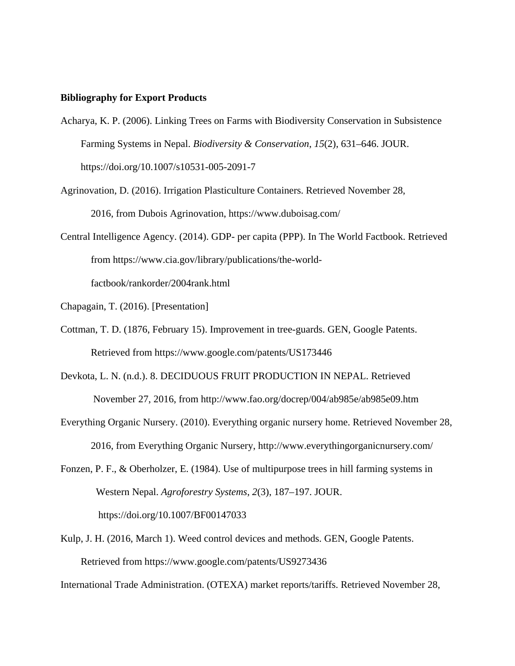#### **Bibliography for Export Products**

- Acharya, K. P. (2006). Linking Trees on Farms with Biodiversity Conservation in Subsistence Farming Systems in Nepal. *Biodiversity & Conservation*, *15*(2), 631–646. JOUR. https://doi.org/10.1007/s10531-005-2091-7
- Agrinovation, D. (2016). Irrigation Plasticulture Containers. Retrieved November 28, 2016, from Dubois Agrinovation, https://www.duboisag.com/
- Central Intelligence Agency. (2014). GDP- per capita (PPP). In The World Factbook. Retrieved from https://www.cia.gov/library/publications/the-worldfactbook/rankorder/2004rank.html
- Chapagain, T. (2016). [Presentation]
- Cottman, T. D. (1876, February 15). Improvement in tree-guards. GEN, Google Patents. Retrieved from https://www.google.com/patents/US173446
- Devkota, L. N. (n.d.). 8. DECIDUOUS FRUIT PRODUCTION IN NEPAL. Retrieved November 27, 2016, from http://www.fao.org/docrep/004/ab985e/ab985e09.htm
- Everything Organic Nursery. (2010). Everything organic nursery home. Retrieved November 28, 2016, from Everything Organic Nursery, http://www.everythingorganicnursery.com/
- Fonzen, P. F., & Oberholzer, E. (1984). Use of multipurpose trees in hill farming systems in Western Nepal. *Agroforestry Systems*, *2*(3), 187–197. JOUR. https://doi.org/10.1007/BF00147033
- Kulp, J. H. (2016, March 1). Weed control devices and methods. GEN, Google Patents. Retrieved from https://www.google.com/patents/US9273436

International Trade Administration. (OTEXA) market reports/tariffs. Retrieved November 28,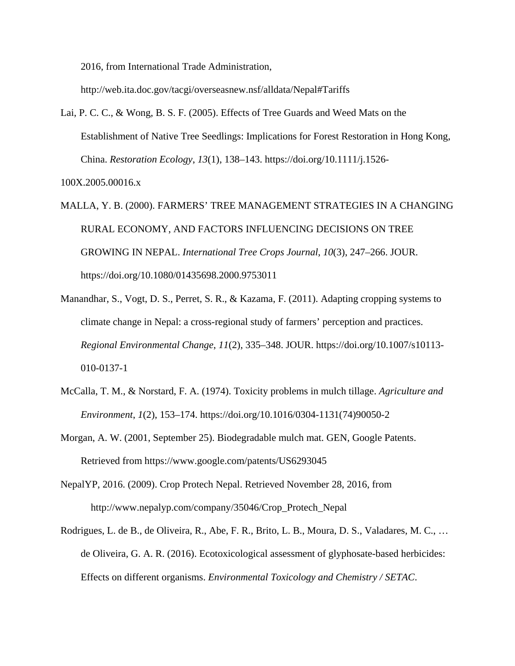2016, from International Trade Administration,

http://web.ita.doc.gov/tacgi/overseasnew.nsf/alldata/Nepal#Tariffs

Lai, P. C. C., & Wong, B. S. F. (2005). Effects of Tree Guards and Weed Mats on the Establishment of Native Tree Seedlings: Implications for Forest Restoration in Hong Kong, China. *Restoration Ecology*, *13*(1), 138–143. https://doi.org/10.1111/j.1526-

100X.2005.00016.x

- MALLA, Y. B. (2000). FARMERS' TREE MANAGEMENT STRATEGIES IN A CHANGING RURAL ECONOMY, AND FACTORS INFLUENCING DECISIONS ON TREE GROWING IN NEPAL. *International Tree Crops Journal*, *10*(3), 247–266. JOUR. https://doi.org/10.1080/01435698.2000.9753011
- Manandhar, S., Vogt, D. S., Perret, S. R., & Kazama, F. (2011). Adapting cropping systems to climate change in Nepal: a cross-regional study of farmers' perception and practices. *Regional Environmental Change*, *11*(2), 335–348. JOUR. https://doi.org/10.1007/s10113- 010-0137-1
- McCalla, T. M., & Norstard, F. A. (1974). Toxicity problems in mulch tillage. *Agriculture and Environment*, *1*(2), 153–174. https://doi.org/10.1016/0304-1131(74)90050-2
- Morgan, A. W. (2001, September 25). Biodegradable mulch mat. GEN, Google Patents. Retrieved from https://www.google.com/patents/US6293045
- NepalYP, 2016. (2009). Crop Protech Nepal. Retrieved November 28, 2016, from http://www.nepalyp.com/company/35046/Crop\_Protech\_Nepal
- Rodrigues, L. de B., de Oliveira, R., Abe, F. R., Brito, L. B., Moura, D. S., Valadares, M. C., … de Oliveira, G. A. R. (2016). Ecotoxicological assessment of glyphosate-based herbicides: Effects on different organisms. *Environmental Toxicology and Chemistry / SETAC*.